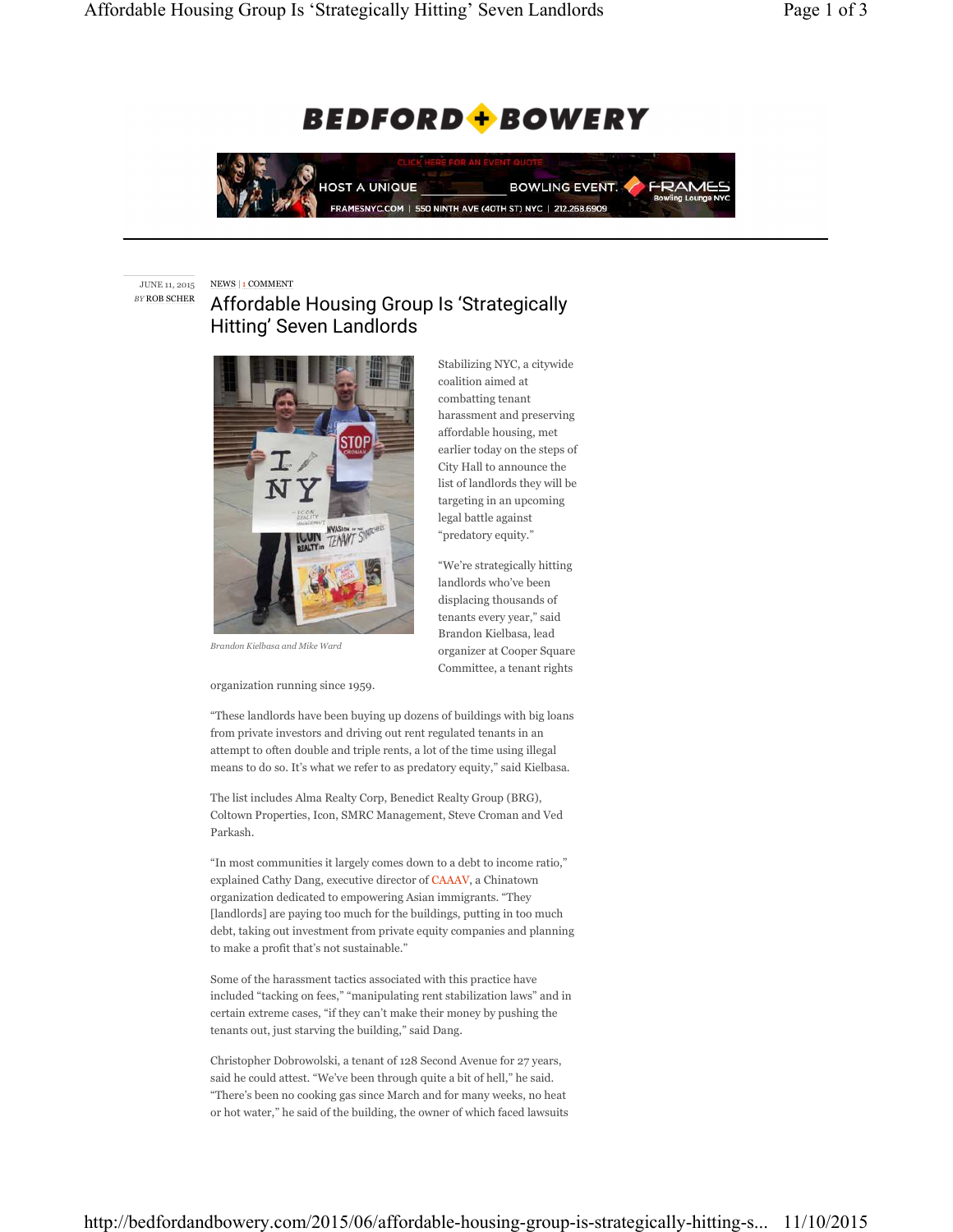## **BEDFORD + BOWERY**



JUNE 11, 2015 *BY* ROB SCHER

## NEWS | 1 COMMENT

## Affordable Housing Group Is 'Strategically Hitting' Seven Landlords



*Brandon Kielbasa and Mike Ward*

organization running since 1959. "These landlords have been buying up dozens of buildings with big loans from private investors and driving out rent regulated tenants in an attempt to often double and triple rents, a lot of the time using illegal means to do so. It's what we refer to as predatory equity," said Kielbasa.

The list includes Alma Realty Corp, Benedict Realty Group (BRG), Coltown Properties, Icon, SMRC Management, Steve Croman and Ved Parkash.

"In most communities it largely comes down to a debt to income ratio," explained Cathy Dang, executive director of CAAAV, a Chinatown organization dedicated to empowering Asian immigrants. "They [landlords] are paying too much for the buildings, putting in too much debt, taking out investment from private equity companies and planning to make a profit that's not sustainable."

Some of the harassment tactics associated with this practice have included "tacking on fees," "manipulating rent stabilization laws" and in certain extreme cases, "if they can't make their money by pushing the tenants out, just starving the building," said Dang.

Christopher Dobrowolski, a tenant of 128 Second Avenue for 27 years, said he could attest. "We've been through quite a bit of hell," he said. "There's been no cooking gas since March and for many weeks, no heat or hot water," he said of the building, the owner of which faced lawsuits

Stabilizing NYC, a citywide coalition aimed at combatting tenant harassment and preserving affordable housing, met earlier today on the steps of City Hall to announce the list of landlords they will be targeting in an upcoming legal battle against "predatory equity."

"We're strategically hitting landlords who've been displacing thousands of tenants every year," said Brandon Kielbasa, lead organizer at Cooper Square Committee, a tenant rights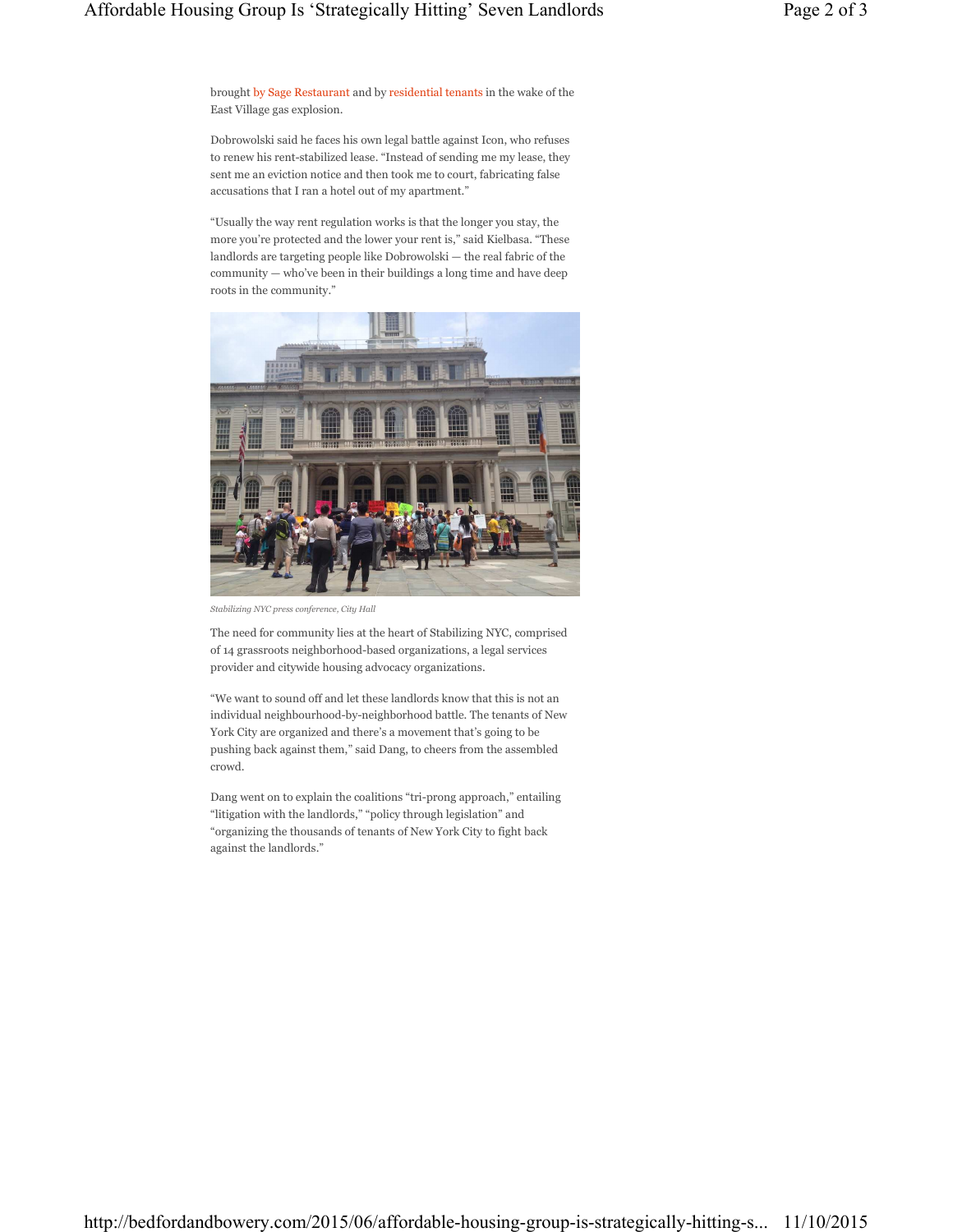Dobrowolski said he faces his own legal battle against Icon, who refuses to renew his rent-stabilized lease. "Instead of sending me my lease, they sent me an eviction notice and then took me to court, fabricating false accusations that I ran a hotel out of my apartment."

"Usually the way rent regulation works is that the longer you stay, the more you're protected and the lower your rent is," said Kielbasa. "These landlords are targeting people like Dobrowolski — the real fabric of the community — who've been in their buildings a long time and have deep roots in the community."



*Stabilizing NYC press conference, City Hall*

The need for community lies at the heart of Stabilizing NYC, comprised of 14 grassroots neighborhood-based organizations, a legal services provider and citywide housing advocacy organizations.

"We want to sound off and let these landlords know that this is not an individual neighbourhood-by-neighborhood battle. The tenants of New York City are organized and there's a movement that's going to be pushing back against them," said Dang, to cheers from the assembled crowd.

Dang went on to explain the coalitions "tri-prong approach," entailing "litigation with the landlords," "policy through legislation" and "organizing the thousands of tenants of New York City to fight back against the landlords."